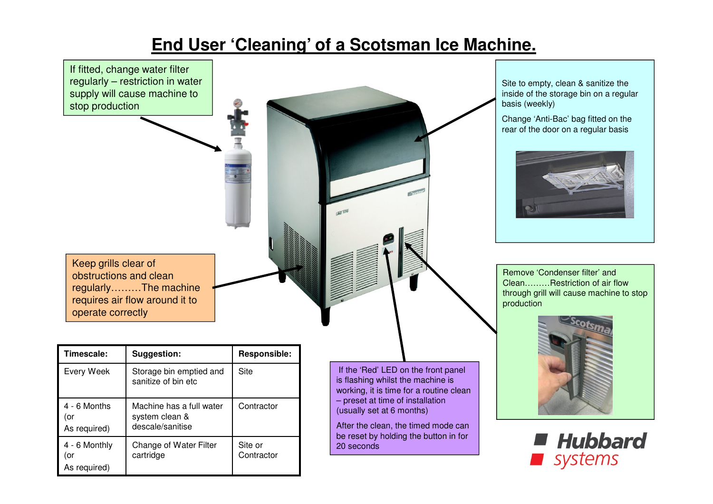## **End User 'Cleaning' of a Scotsman Ice Machine.**



20 seconds

As required)

4 - 6 Monthly

As required)

(or

descale/sanitise

cartridge

Change of Water Filter

Site or **Contractor**  After the clean, the timed mode can be reset by holding the button in for

**Hubbard** systems